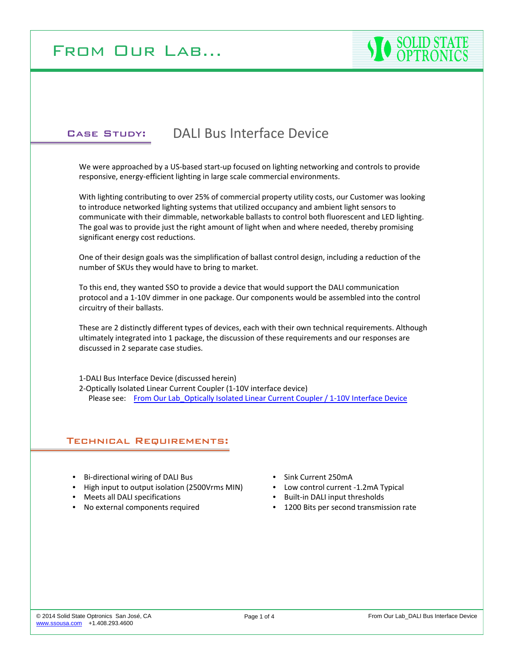## FROM OUR LAB...

# **SOLID STA**

#### Case Study:

### DALI Bus Interface Device

We were approached by a US-based start-up focused on lighting networking and controls to provide responsive, energy‐efficient lighting in large scale commercial environments.

With lighting contributing to over 25% of commercial property utility costs, our Customer was looking to introduce networked lighting systems that utilized occupancy and ambient light sensors to communicate with their dimmable, networkable ballasts to control both fluorescent and LED lighting. The goal was to provide just the right amount of light when and where needed, thereby promising significant energy cost reductions.

One of their design goals was the simplification of ballast control design, including a reduction of the number of SKUs they would have to bring to market.

To this end, they wanted SSO to provide a device that would support the DALI communication protocol and a 1‐10V dimmer in one package. Our components would be assembled into the control circuitry of their ballasts.

These are 2 distinctly different types of devices, each with their own technical requirements. Although ultimately integrated into 1 package, the discussion of these requirements and our responses are discussed in 2 separate case studies.

1‐DALI Bus Interface Device (discussed herein) 2‐Optically Isolated Linear Current Coupler (1‐10V interface device) Please see: From Our Lab Optically Isolated Linear Current Coupler / 1-10V Interface Device

#### Technical Requirements:

- Bi‐directional wiring of DALI Bus
- High input to output isolation (2500Vrms MIN)
- Meets all DALI specifications
- No external components required
- Sink Current 250mA
- Low control current -1.2mA Typical
- Built‐in DALI input thresholds
- 1200 Bits per second transmission rate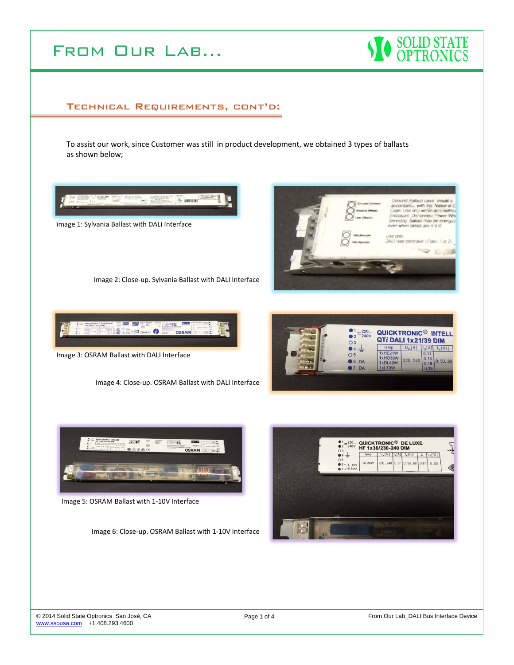



#### Technical Requirements, cont'd:

To assist our work, since Customer was still in product development, we obtained 3 types of ballasts as shown below;



Image 1: Sylvania Ballast with DALI Interface

Image 2: Close‐up. Sylvania Ballast with DALI Interface





Image 3: OSRAM Ballast with DALI Interface

Image 4: Close‐up. OSRAM Ballast with DALI Interface





Image 5: OSRAM Ballast with 1‐10V Interface

Image 6: Close‐up. OSRAM Ballast with 1‐10V Interface

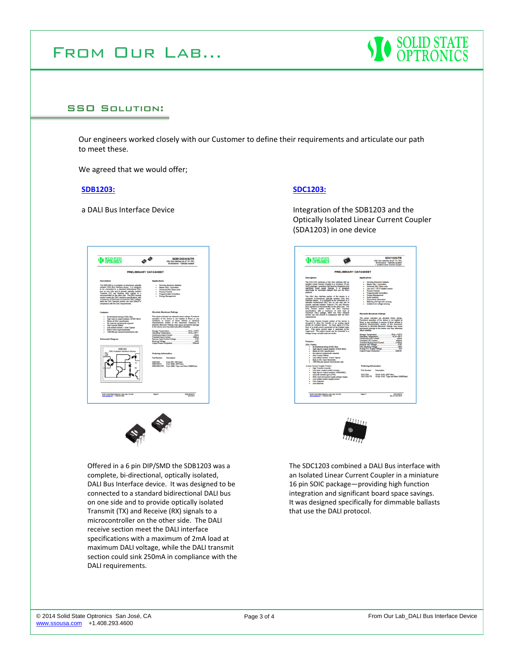

#### SSO Solution:

Our engineers worked closely with our Customer to define their requirements and articulate our path to meet these.

We agreed that we would offer;

#### **SDB1203:**

a DALI Bus Interface Device





Offered in a 6 pin DIP/SMD the SDB1203 was a complete, bi‐directional, optically isolated, DALI Bus Interface device. It was designed to be connected to a standard bidirectional DALI bus on one side and to provide optically isolated Transmit (TX) and Receive (RX) signals to a microcontroller on the other side. The DALI receive section meet the DALI interface specifications with a maximum of 2mA load at maximum DALI voltage, while the DALI transmit section could sink 250mA in compliance with the DALI requirements.

#### **SDC1203:**

Integration of the SDB1203 and the Optically Isolated Linear Current Coupler (SDA1203) in one device





The SDC1203 combined a DALI Bus interface with an Isolated Linear Current Coupler in a miniature 16 pin SOIC package—providing high function integration and significant board space savings. It was designed specifically for dimmable ballasts that use the DALI protocol.